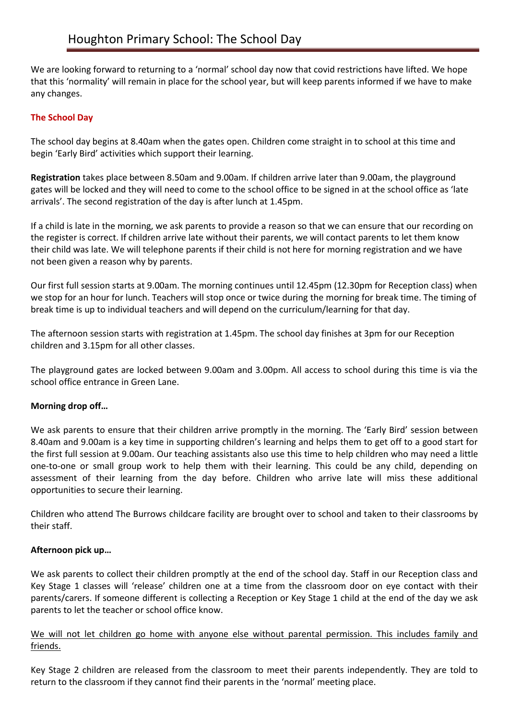We are looking forward to returning to a 'normal' school day now that covid restrictions have lifted. We hope that this 'normality' will remain in place for the school year, but will keep parents informed if we have to make any changes.

# **The School Day**

The school day begins at 8.40am when the gates open. Children come straight in to school at this time and begin 'Early Bird' activities which support their learning.

**Registration** takes place between 8.50am and 9.00am. If children arrive later than 9.00am, the playground gates will be locked and they will need to come to the school office to be signed in at the school office as 'late arrivals'. The second registration of the day is after lunch at 1.45pm.

If a child is late in the morning, we ask parents to provide a reason so that we can ensure that our recording on the register is correct. If children arrive late without their parents, we will contact parents to let them know their child was late. We will telephone parents if their child is not here for morning registration and we have not been given a reason why by parents.

Our first full session starts at 9.00am. The morning continues until 12.45pm (12.30pm for Reception class) when we stop for an hour for lunch. Teachers will stop once or twice during the morning for break time. The timing of break time is up to individual teachers and will depend on the curriculum/learning for that day.

The afternoon session starts with registration at 1.45pm. The school day finishes at 3pm for our Reception children and 3.15pm for all other classes.

The playground gates are locked between 9.00am and 3.00pm. All access to school during this time is via the school office entrance in Green Lane.

# **Morning drop off…**

We ask parents to ensure that their children arrive promptly in the morning. The 'Early Bird' session between 8.40am and 9.00am is a key time in supporting children's learning and helps them to get off to a good start for the first full session at 9.00am. Our teaching assistants also use this time to help children who may need a little one-to-one or small group work to help them with their learning. This could be any child, depending on assessment of their learning from the day before. Children who arrive late will miss these additional opportunities to secure their learning.

Children who attend The Burrows childcare facility are brought over to school and taken to their classrooms by their staff.

### **Afternoon pick up…**

We ask parents to collect their children promptly at the end of the school day. Staff in our Reception class and Key Stage 1 classes will 'release' children one at a time from the classroom door on eye contact with their parents/carers. If someone different is collecting a Reception or Key Stage 1 child at the end of the day we ask parents to let the teacher or school office know.

## We will not let children go home with anyone else without parental permission. This includes family and friends.

Key Stage 2 children are released from the classroom to meet their parents independently. They are told to return to the classroom if they cannot find their parents in the 'normal' meeting place.